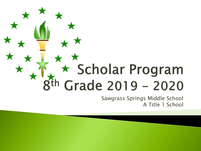# \* Scholar Program Grade 2019 - 2020

Sawgrass Springs Middle School A Title 1 School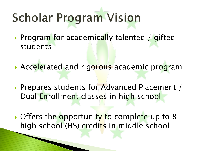# **Scholar Program Vision**

- Program for academically talented / gifted students
- Accelerated and rigorous academic program
- **Prepares students for Advanced Placement** / Dual Enrollment classes in high school
- Offers the opportunity to complete up to 8 high school (HS) credits in middle school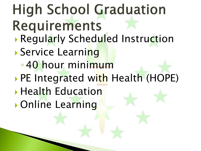## **High School Graduation** Requirements **Regularly Scheduled Instruction**

- **Service Learning** 
	- ◦40 hour minimum
- PE Integrated with Health (HOPE)
- **Health Education**
- Online Learning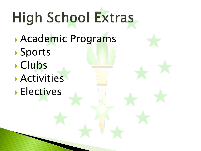# High School Extras

- Academic Programs
- Sports
- Clubs
- Activities
- **Electives**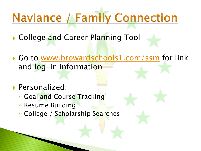## **Naviance / Family Connection**

- ▶ College and Career Planning Tool
- Go to [www.browardschools1.com/ssm](http://www.browardschools1.com/ssm) for link and log-in information
- Personalized:
	- Goal and Course Tracking
	- Resume Building
	- College / Scholarship Searches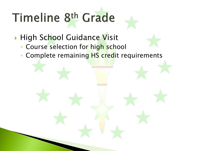# Timeline 8th Grade

#### **High School Guidance Visit**

- Course selection for high school
- Complete remaining HS credit requirements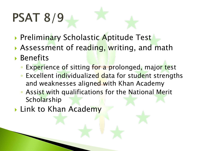# **PSAT 8/9**

- **Preliminary Scholastic Aptitude Test**
- Assessment of reading, writing, and math
- Benefits
	- Experience of sitting for a prolonged, major test
	- Excellent individualized data for student strengths and weaknesses aligned with Khan Academy
	- Assist with qualifications for the National Merit **Scholarship**
- **Link to Khan Academy**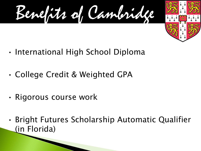Benefits of Cambridge



- International High School Diploma
- College Credit & Weighted GPA
- Rigorous course work
- Bright Futures Scholarship Automatic Qualifier (in Florida)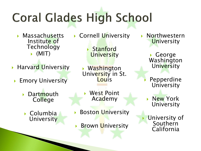# **Coral Glades High School**

- **Massachusetts** Institute of **Technology**  $\blacktriangleright$  (MIT)
- **Harvard University** 
	- **Emory University** 
		- **Dartmouth** College
			- ▶ Columbia **University**
- Cornell University
	- Stanford **University**

 Washington University in St. **Louis** 

 West Point Academy

- **Boston University**
- **Brown University**
- Northwestern **University** 
	- George Washington **University**
	- Pepperdine **University**
	- New York University
- University of **Southern** California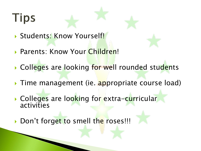## **Tips**

- Students: Know Yourself!
- ▶ Parents: Know Your Children!
- Colleges are looking for well rounded students
- Time management (ie. appropriate course load)
- Colleges are looking for extra-curricular activities
- Don't forget to smell the roses!!!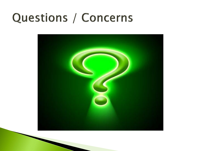### Questions / Concerns